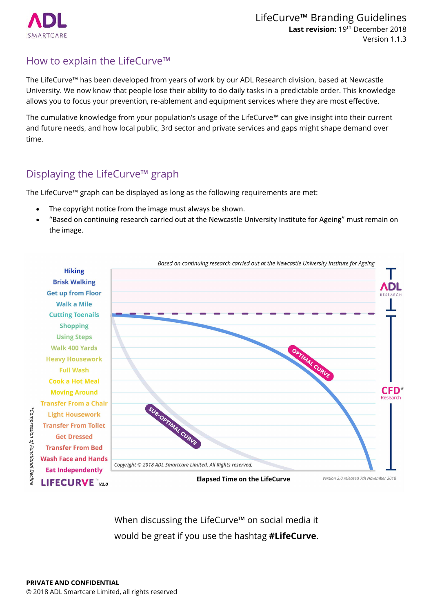

#### How to explain the LifeCurve™

The LifeCurve™ has been developed from years of work by our ADL Research division, based at Newcastle University. We now know that people lose their ability to do daily tasks in a predictable order. This knowledge allows you to focus your prevention, re-ablement and equipment services where they are most effective.

The cumulative knowledge from your population's usage of the LifeCurve™ can give insight into their current and future needs, and how local public, 3rd sector and private services and gaps might shape demand over time.

## Displaying the LifeCurve™ graph

The LifeCurve™ graph can be displayed as long as the following requirements are met:

- The copyright notice from the image must always be shown.
- "Based on continuing research at Newcastle University" must remain on the image.



When discussing the LifeCurve™ on social media it would be great if you use the hashtag **#LifeCurve**.